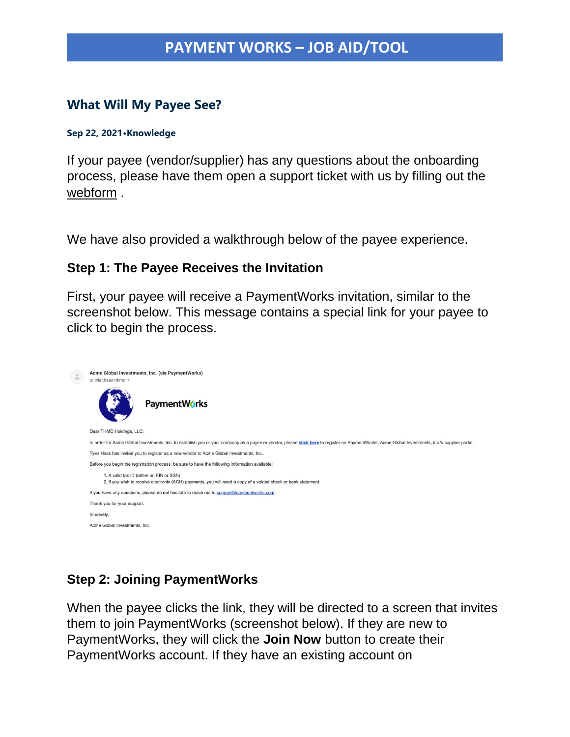#### **What Will My Payee See?**

#### **Sep 22, 2021•Knowledge**

If your payee (vendor/supplier) has any questions about the onboarding process, please have them open a support ticket with us by filling out the [webform](https://community.paymentworks.com/payers/s/contactsupport) .

We have also provided a walkthrough below of the payee experience.

#### **Step 1: The Payee Receives the Invitation**

First, your payee will receive a PaymentWorks invitation, similar to the screenshot below. This message contains a special link for your payee to click to begin the process.



### **Step 2: Joining PaymentWorks**

When the payee clicks the link, they will be directed to a screen that invites them to join PaymentWorks (screenshot below). If they are new to PaymentWorks, they will click the **Join Now** button to create their PaymentWorks account. If they have an existing account on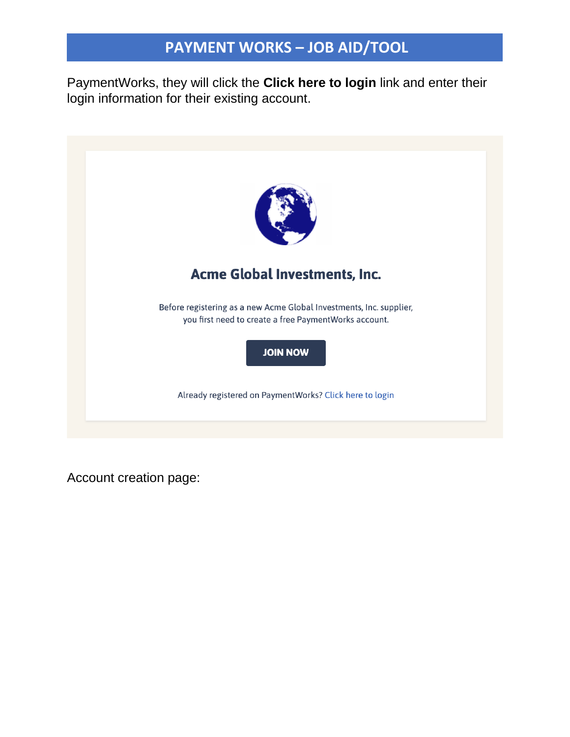PaymentWorks, they will click the **Click here to login** link and enter their login information for their existing account.



Account creation page: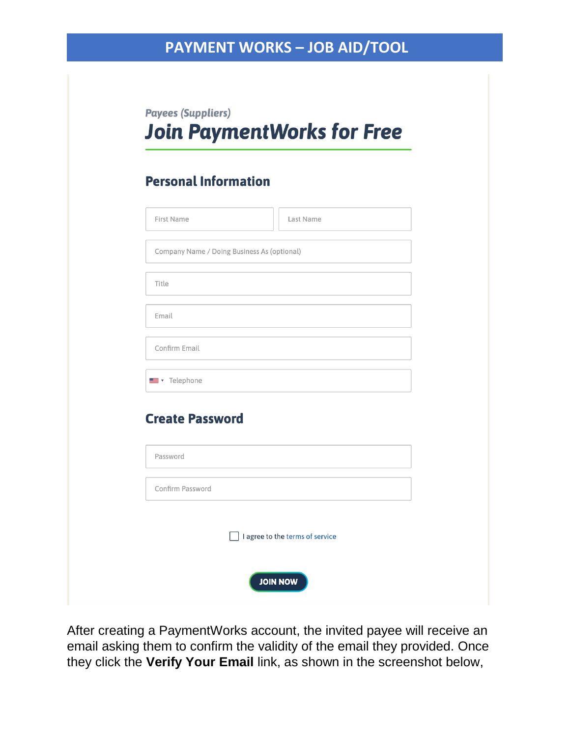**Payees (Suppliers)** 

**Join PaymentWorks for Free** 

### **Personal Information**

| First Name                                  | Last Name |  |  |
|---------------------------------------------|-----------|--|--|
| Company Name / Doing Business As (optional) |           |  |  |
| Title                                       |           |  |  |
| Email                                       |           |  |  |
| Confirm Email                               |           |  |  |
| Telephone                                   |           |  |  |
| <b>Create Password</b>                      |           |  |  |
| Password                                    |           |  |  |
| Confirm Password                            |           |  |  |
| I agree to the terms of service             |           |  |  |
| <b>JOIN NOW</b>                             |           |  |  |

After creating a PaymentWorks account, the invited payee will receive an email asking them to confirm the validity of the email they provided. Once they click the **Verify Your Email** link, as shown in the screenshot below,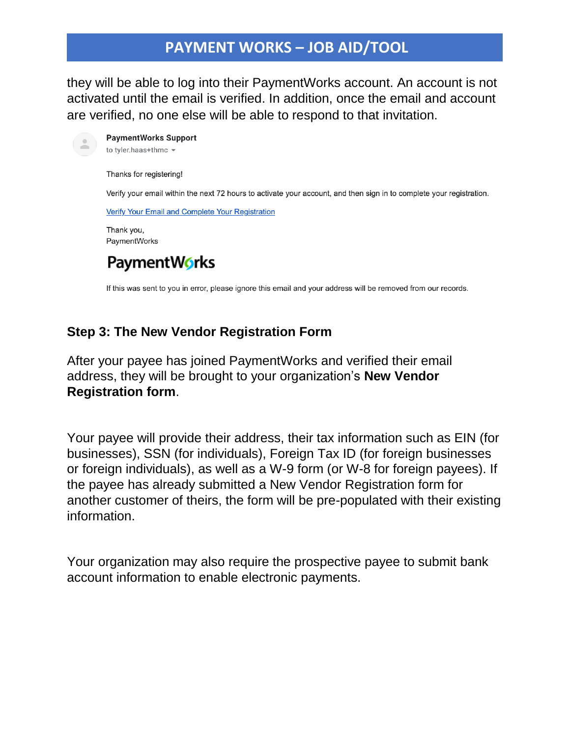they will be able to log into their PaymentWorks account. An account is not activated until the email is verified. In addition, once the email and account are verified, no one else will be able to respond to that invitation.



### **Step 3: The New Vendor Registration Form**

After your payee has joined PaymentWorks and verified their email address, they will be brought to your organization's **New Vendor Registration form**.

Your payee will provide their address, their tax information such as EIN (for businesses), SSN (for individuals), Foreign Tax ID (for foreign businesses or foreign individuals), as well as a W-9 form (or W-8 for foreign payees). If the payee has already submitted a New Vendor Registration form for another customer of theirs, the form will be pre-populated with their existing information.

Your organization may also require the prospective payee to submit bank account information to enable electronic payments.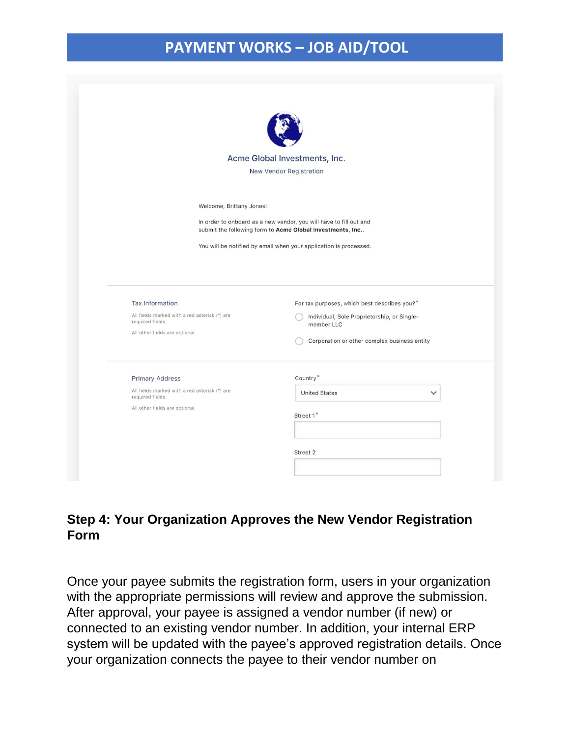|                                                                                                                               | Acme Global Investments, Inc.                                                                                                                                                                        |
|-------------------------------------------------------------------------------------------------------------------------------|------------------------------------------------------------------------------------------------------------------------------------------------------------------------------------------------------|
|                                                                                                                               | New Vendor Registration                                                                                                                                                                              |
| Welcome, Brittany Jones!                                                                                                      | In order to onboard as a new vendor, you will have to fill out and<br>submit the following form to Acme Global Investments, Inc<br>You will be notified by email when your application is processed. |
| Tax Information<br>All fields marked with a red asterisk (*) are<br>required fields.<br>All other fields are optional.        | For tax purposes, which best describes you?*<br>Individual, Sole Proprietorship, or Single-<br>member LLC<br>Corporation or other complex business entity                                            |
| <b>Primary Address</b><br>All fields marked with a red asterisk (*) are<br>required fields.<br>All other fields are optional. | Country <sup>*</sup><br><b>United States</b><br>$\checkmark$<br>Street 1*                                                                                                                            |
|                                                                                                                               | Street 2                                                                                                                                                                                             |

### **Step 4: Your Organization Approves the New Vendor Registration Form**

Once your payee submits the registration form, users in your organization with the appropriate permissions will review and approve the submission. After approval, your payee is assigned a vendor number (if new) or connected to an existing vendor number. In addition, your internal ERP system will be updated with the payee's approved registration details. Once your organization connects the payee to their vendor number on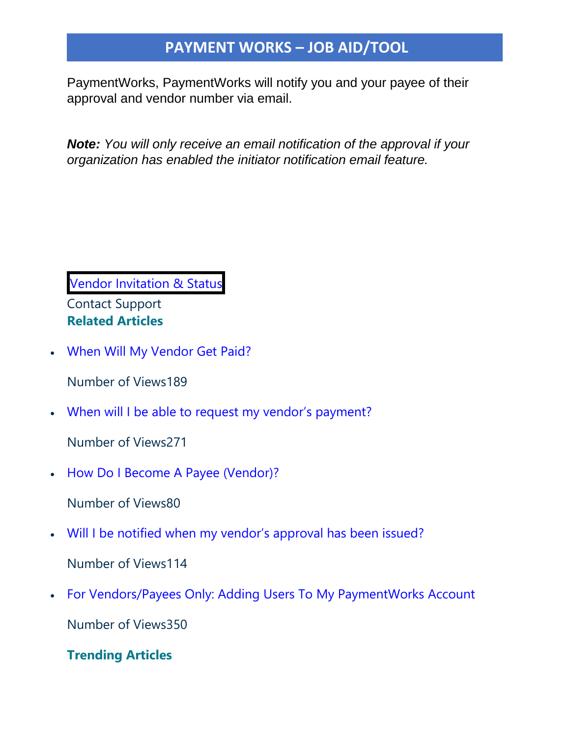PaymentWorks, PaymentWorks will notify you and your payee of their approval and vendor number via email.

*Note: You will only receive an email notification of the approval if your organization has enabled the initiator notification email feature.*

**Vendor [Invitation](https://community.paymentworks.com/payers/s/topic/0TO3k000001uFHGGA2/vendor-invitation-status) & Status** 

Contact Support **Related Articles**

• [When Will My Vendor Get Paid?](https://community.paymentworks.com/payers/s/article/When-Will-My-Vendor-Get-Paid)

Number of Views189

• [When will I be able to request my vendor's payment?](https://community.paymentworks.com/payers/s/article/When-will-I-be-able-to-request-my-vendor-s-payment)

Number of Views271

- [How Do I Become A Payee \(Vendor\)?](https://community.paymentworks.com/payers/s/article/How-do-I-Become-a-Payee-Vendor)
	- Number of Views80
- [Will I be notified when my vendor's approval has been issued?](https://community.paymentworks.com/payers/s/article/Will-I-be-notified-when-my-vendor-s-approval-has-been-issued)

Number of Views114

• [For Vendors/Payees Only: Adding Users To My PaymentWorks Account](https://community.paymentworks.com/payers/s/article/Adding-Users-To-My-Account) Number of Views350

**Trending Articles**